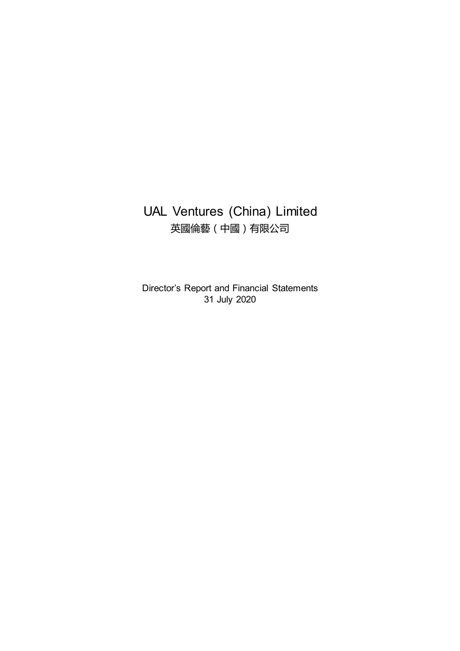# UAL Ventures (China) Limited 英國倫藝(中國)有限公司

Director's Report and Financial Statements 31 July 2020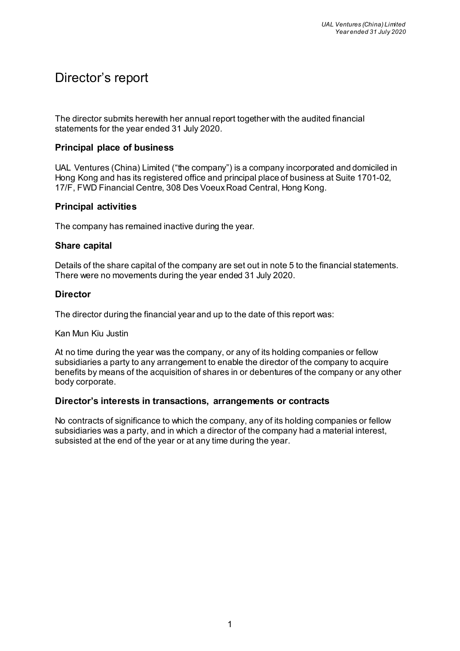# Director's report

The director submits herewith her annual report together with the audited financial statements for the year ended 31 July 2020.

## **Principal place of business**

UAL Ventures (China) Limited ("the company") is a company incorporated and domiciled in Hong Kong and has its registered office and principal place of business at Suite 1701-02, 17/F, FWD Financial Centre, 308 Des Voeux Road Central, Hong Kong.

# **Principal activities**

The company has remained inactive during the year.

#### **Share capital**

Details of the share capital of the company are set out in note 5 to the financial statements. There were no movements during the year ended 31 July 2020.

# **Director**

The director during the financial year and up to the date of this report was:

Kan Mun Kiu Justin

At no time during the year was the company, or any of its holding companies or fellow subsidiaries a party to any arrangement to enable the director of the company to acquire benefits by means of the acquisition of shares in or debentures of the company or any other body corporate.

## **Director's interests in transactions, arrangements or contracts**

No contracts of significance to which the company, any of its holding companies or fellow subsidiaries was a party, and in which a director of the company had a material interest, subsisted at the end of the year or at any time during the year.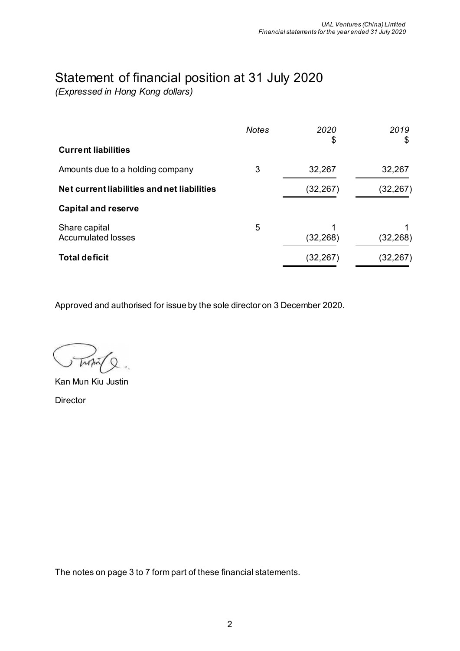# Statement of financial position at 31 July 2020

*(Expressed in Hong Kong dollars)*

|                                             | <b>Notes</b> | 2020<br>\$ | 2019<br>\$ |
|---------------------------------------------|--------------|------------|------------|
| <b>Current liabilities</b>                  |              |            |            |
| Amounts due to a holding company            | 3            | 32,267     | 32,267     |
| Net current liabilities and net liabilities |              | (32, 267)  | (32,267)   |
| <b>Capital and reserve</b>                  |              |            |            |
| Share capital<br><b>Accumulated losses</b>  | 5            | (32, 268)  | (32, 268)  |
| <b>Total deficit</b>                        |              | (32,267)   | (32,267)   |

Approved and authorised for issue by the sole director on 3 December 2020.

Kan Mun Kiu Justin Director

The notes on page 3 to 7 form part of these financial statements.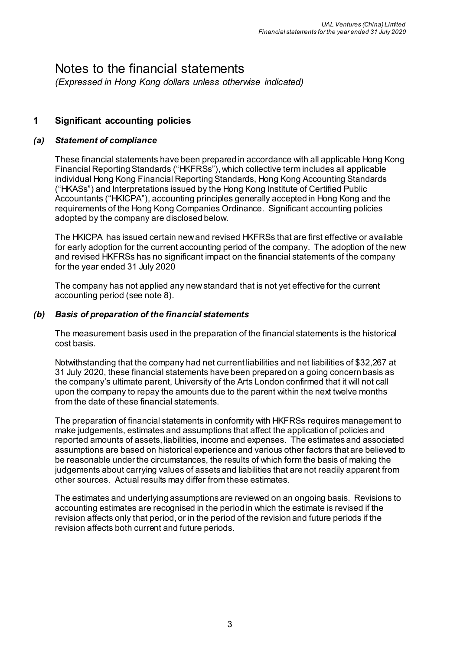# Notes to the financial statements

*(Expressed in Hong Kong dollars unless otherwise indicated)* 

# **1 Significant accounting policies**

#### *(a) Statement of compliance*

These financial statements have been prepared in accordance with all applicable Hong Kong Financial Reporting Standards ("HKFRSs"), which collective term includes all applicable individual Hong Kong Financial Reporting Standards, Hong Kong Accounting Standards ("HKASs") and Interpretations issued by the Hong Kong Institute of Certified Public Accountants ("HKICPA"), accounting principles generally accepted in Hong Kong and the requirements of the Hong Kong Companies Ordinance. Significant accounting policies adopted by the company are disclosed below.

The HKICPA has issued certain new and revised HKFRSs that are first effective or available for early adoption for the current accounting period of the company. The adoption of the new and revised HKFRSs has no significant impact on the financial statements of the company for the year ended 31 July 2020

The company has not applied any new standard that is not yet effective for the current accounting period (see note 8).

#### *(b) Basis of preparation of the financial statements*

The measurement basis used in the preparation of the financial statements is the historical cost basis.

Notwithstanding that the company had net current liabilities and net liabilities of \$32,267 at 31 July 2020, these financial statements have been prepared on a going concern basis as the company's ultimate parent, University of the Arts London confirmed that it will not call upon the company to repay the amounts due to the parent within the next twelve months from the date of these financial statements.

The preparation of financial statements in conformity with HKFRSs requires management to make judgements, estimates and assumptions that affect the application of policies and reported amounts of assets, liabilities, income and expenses. The estimates and associated assumptions are based on historical experience and various other factors that are believed to be reasonable under the circumstances, the results of which form the basis of making the judgements about carrying values of assets and liabilities that are not readily apparent from other sources. Actual results may differ from these estimates.

The estimates and underlying assumptions are reviewed on an ongoing basis. Revisions to accounting estimates are recognised in the period in which the estimate is revised if the revision affects only that period, or in the period of the revision and future periods if the revision affects both current and future periods.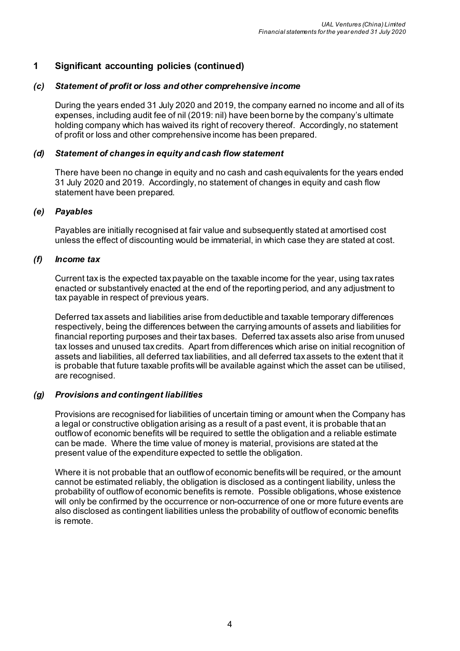# **1 Significant accounting policies (continued)**

#### *(c) Statement of profit or loss and other comprehensive income*

During the years ended 31 July 2020 and 2019, the company earned no income and all of its expenses, including audit fee of nil (2019: nil) have been borne by the company's ultimate holding company which has waived its right of recovery thereof. Accordingly, no statement of profit or loss and other comprehensive income has been prepared.

#### *(d) Statement of changes in equity and cash flow statement*

There have been no change in equity and no cash and cash equivalents for the years ended 31 July 2020 and 2019. Accordingly, no statement of changes in equity and cash flow statement have been prepared.

#### *(e) Payables*

Payables are initially recognised at fair value and subsequently stated at amortised cost unless the effect of discounting would be immaterial, in which case they are stated at cost.

#### *(f) Income tax*

Current tax is the expected tax payable on the taxable income for the year, using tax rates enacted or substantively enacted at the end of the reporting period, and any adjustment to tax payable in respect of previous years.

Deferred tax assets and liabilities arise from deductible and taxable temporary differences respectively, being the differences between the carrying amounts of assets and liabilities for financial reporting purposes and their tax bases. Deferred tax assets also arise from unused tax losses and unused tax credits. Apart from differences which arise on initial recognition of assets and liabilities, all deferred tax liabilities, and all deferred tax assets to the extent that it is probable that future taxable profits will be available against which the asset can be utilised, are recognised.

#### *(g) Provisions and contingent liabilities*

Provisions are recognised for liabilities of uncertain timing or amount when the Company has a legal or constructive obligation arising as a result of a past event, it is probable that an outflow of economic benefits will be required to settle the obligation and a reliable estimate can be made. Where the time value of money is material, provisions are stated at the present value of the expenditure expected to settle the obligation.

Where it is not probable that an outflow of economic benefits will be required, or the amount cannot be estimated reliably, the obligation is disclosed as a contingent liability, unless the probability of outflow of economic benefits is remote. Possible obligations, whose existence will only be confirmed by the occurrence or non-occurrence of one or more future events are also disclosed as contingent liabilities unless the probability of outflow of economic benefits is remote.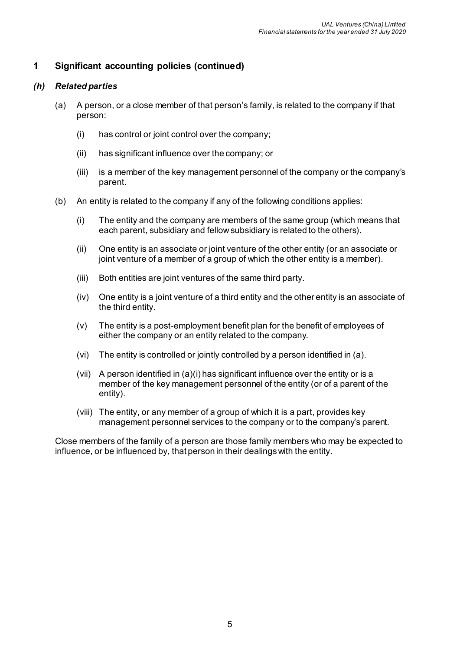# **1 Significant accounting policies (continued)**

#### *(h) Related parties*

- (a) A person, or a close member of that person's family, is related to the company if that person:
	- (i) has control or joint control over the company;
	- (ii) has significant influence over the company; or
	- (iii) is a member of the key management personnel of the company or the company's parent.
- (b) An entity is related to the company if any of the following conditions applies:
	- (i) The entity and the company are members of the same group (which means that each parent, subsidiary and fellow subsidiary is related to the others).
	- (ii) One entity is an associate or joint venture of the other entity (or an associate or joint venture of a member of a group of which the other entity is a member).
	- (iii) Both entities are joint ventures of the same third party.
	- (iv) One entity is a joint venture of a third entity and the other entity is an associate of the third entity.
	- (v) The entity is a post-employment benefit plan for the benefit of employees of either the company or an entity related to the company.
	- (vi) The entity is controlled or jointly controlled by a person identified in (a).
	- (vii) A person identified in (a)(i) has significant influence over the entity or is a member of the key management personnel of the entity (or of a parent of the entity).
	- (viii) The entity, or any member of a group of which it is a part, provides key management personnel services to the company or to the company's parent.

Close members of the family of a person are those family members who may be expected to influence, or be influenced by, that person in their dealings with the entity.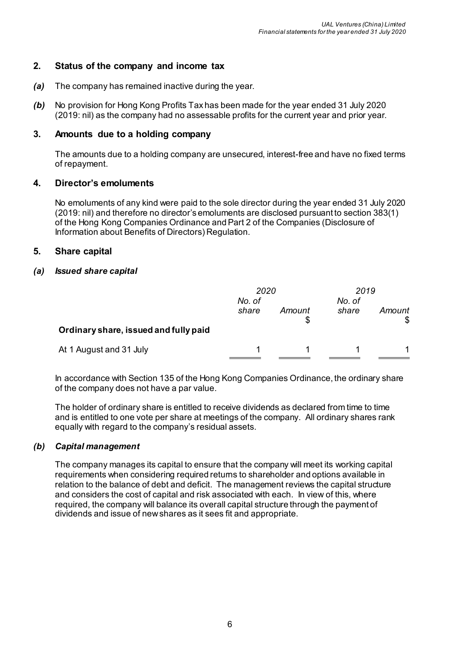## **2. Status of the company and income tax**

- *(a)* The company has remained inactive during the year.
- *(b)* No provision for Hong Kong Profits Tax has been made for the year ended 31 July 2020 (2019: nil) as the company had no assessable profits for the current year and prior year.

#### **3. Amounts due to a holding company**

The amounts due to a holding company are unsecured, interest-free and have no fixed terms of repayment.

#### **4. Director's emoluments**

No emoluments of any kind were paid to the sole director during the year ended 31 July 2020 (2019: nil) and therefore no director's emoluments are disclosed pursuant to section 383(1) of the Hong Kong Companies Ordinance and Part 2 of the Companies (Disclosure of Information about Benefits of Directors) Regulation.

#### **5. Share capital**

#### *(a) Issued share capital*

|                                       | 2020<br>No. of |        | No. of | 2019   |  |
|---------------------------------------|----------------|--------|--------|--------|--|
|                                       | share          | Amount | share  | Amount |  |
| Ordinary share, issued and fully paid |                |        |        |        |  |
| At 1 August and 31 July               |                |        |        |        |  |

In accordance with Section 135 of the Hong Kong Companies Ordinance, the ordinary share of the company does not have a par value.

The holder of ordinary share is entitled to receive dividends as declared from time to time and is entitled to one vote per share at meetings of the company. All ordinary shares rank equally with regard to the company's residual assets.

#### *(b) Capital management*

The company manages its capital to ensure that the company will meet its working capital requirements when considering required returns to shareholder and options available in relation to the balance of debt and deficit. The management reviews the capital structure and considers the cost of capital and risk associated with each. In view of this, where required, the company will balance its overall capital structure through the payment of dividends and issue of new shares as it sees fit and appropriate.